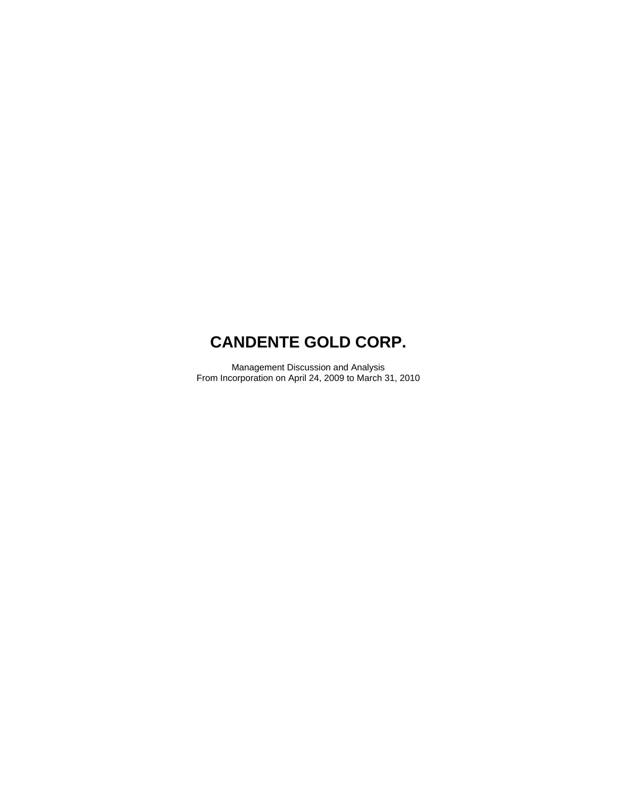Management Discussion and Analysis From Incorporation on April 24, 2009 to March 31, 2010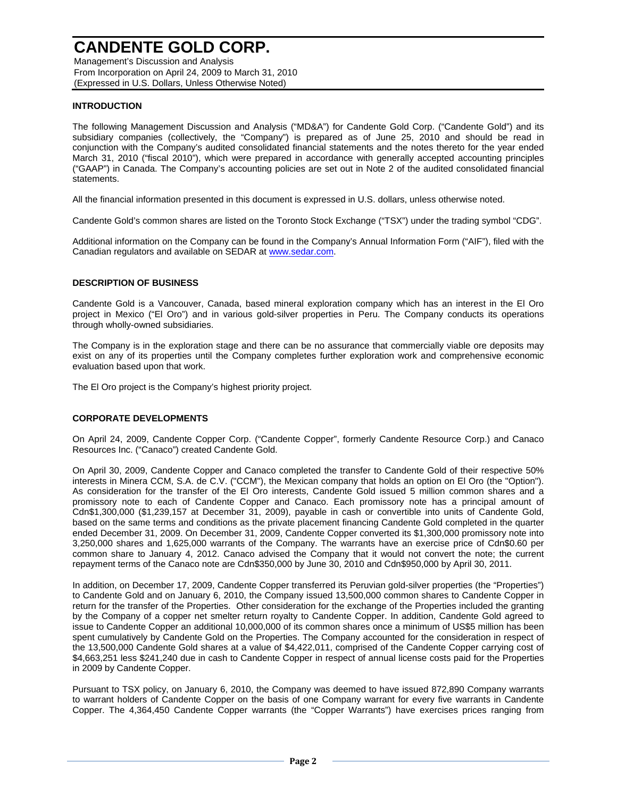Management's Discussion and Analysis From Incorporation on April 24, 2009 to March 31, 2010 (Expressed in U.S. Dollars, Unless Otherwise Noted)

## **INTRODUCTION**

The following Management Discussion and Analysis ("MD&A") for Candente Gold Corp. ("Candente Gold") and its subsidiary companies (collectively, the "Company") is prepared as of June 25, 2010 and should be read in conjunction with the Company's audited consolidated financial statements and the notes thereto for the year ended March 31, 2010 ("fiscal 2010"), which were prepared in accordance with generally accepted accounting principles ("GAAP") in Canada. The Company's accounting policies are set out in Note 2 of the audited consolidated financial statements.

All the financial information presented in this document is expressed in U.S. dollars, unless otherwise noted.

Candente Gold's common shares are listed on the Toronto Stock Exchange ("TSX") under the trading symbol "CDG".

Additional information on the Company can be found in the Company's Annual Information Form ("AIF"), filed with the Canadian regulators and available on SEDAR at www.sedar.com.

## **DESCRIPTION OF BUSINESS**

Candente Gold is a Vancouver, Canada, based mineral exploration company which has an interest in the El Oro project in Mexico ("El Oro") and in various gold-silver properties in Peru. The Company conducts its operations through wholly-owned subsidiaries.

The Company is in the exploration stage and there can be no assurance that commercially viable ore deposits may exist on any of its properties until the Company completes further exploration work and comprehensive economic evaluation based upon that work.

The El Oro project is the Company's highest priority project.

### **CORPORATE DEVELOPMENTS**

On April 24, 2009, Candente Copper Corp. ("Candente Copper", formerly Candente Resource Corp.) and Canaco Resources Inc. ("Canaco") created Candente Gold.

On April 30, 2009, Candente Copper and Canaco completed the transfer to Candente Gold of their respective 50% interests in Minera CCM, S.A. de C.V. ("CCM"), the Mexican company that holds an option on El Oro (the "Option"). As consideration for the transfer of the El Oro interests, Candente Gold issued 5 million common shares and a promissory note to each of Candente Copper and Canaco. Each promissory note has a principal amount of Cdn\$1,300,000 (\$1,239,157 at December 31, 2009), payable in cash or convertible into units of Candente Gold, based on the same terms and conditions as the private placement financing Candente Gold completed in the quarter ended December 31, 2009. On December 31, 2009, Candente Copper converted its \$1,300,000 promissory note into 3,250,000 shares and 1,625,000 warrants of the Company. The warrants have an exercise price of Cdn\$0.60 per common share to January 4, 2012. Canaco advised the Company that it would not convert the note; the current repayment terms of the Canaco note are Cdn\$350,000 by June 30, 2010 and Cdn\$950,000 by April 30, 2011.

In addition, on December 17, 2009, Candente Copper transferred its Peruvian gold-silver properties (the "Properties") to Candente Gold and on January 6, 2010, the Company issued 13,500,000 common shares to Candente Copper in return for the transfer of the Properties. Other consideration for the exchange of the Properties included the granting by the Company of a copper net smelter return royalty to Candente Copper. In addition, Candente Gold agreed to issue to Candente Copper an additional 10,000,000 of its common shares once a minimum of US\$5 million has been spent cumulatively by Candente Gold on the Properties. The Company accounted for the consideration in respect of the 13,500,000 Candente Gold shares at a value of \$4,422,011, comprised of the Candente Copper carrying cost of \$4,663,251 less \$241,240 due in cash to Candente Copper in respect of annual license costs paid for the Properties in 2009 by Candente Copper.

Pursuant to TSX policy, on January 6, 2010, the Company was deemed to have issued 872,890 Company warrants to warrant holders of Candente Copper on the basis of one Company warrant for every five warrants in Candente Copper. The 4,364,450 Candente Copper warrants (the "Copper Warrants") have exercises prices ranging from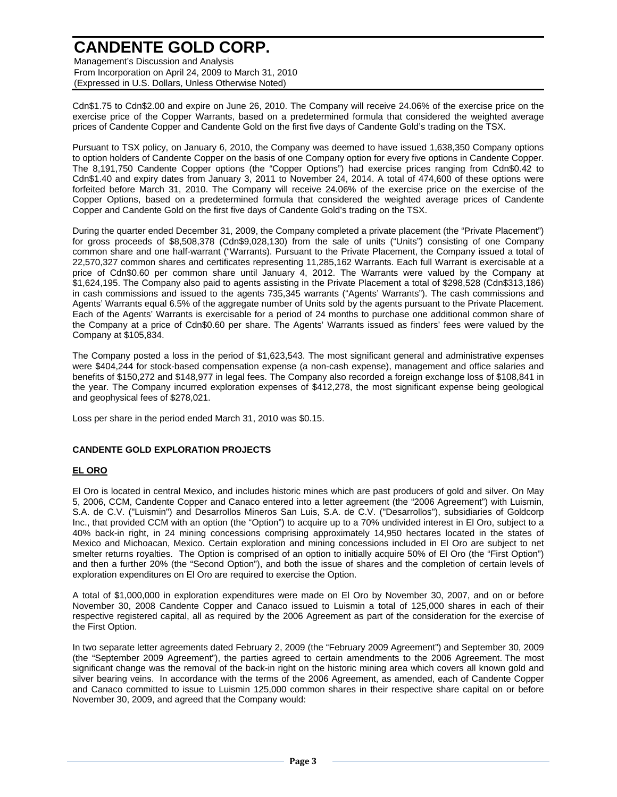Management's Discussion and Analysis From Incorporation on April 24, 2009 to March 31, 2010 (Expressed in U.S. Dollars, Unless Otherwise Noted)

Cdn\$1.75 to Cdn\$2.00 and expire on June 26, 2010. The Company will receive 24.06% of the exercise price on the exercise price of the Copper Warrants, based on a predetermined formula that considered the weighted average prices of Candente Copper and Candente Gold on the first five days of Candente Gold's trading on the TSX.

Pursuant to TSX policy, on January 6, 2010, the Company was deemed to have issued 1,638,350 Company options to option holders of Candente Copper on the basis of one Company option for every five options in Candente Copper. The 8,191,750 Candente Copper options (the "Copper Options") had exercise prices ranging from Cdn\$0.42 to Cdn\$1.40 and expiry dates from January 3, 2011 to November 24, 2014. A total of 474,600 of these options were forfeited before March 31, 2010. The Company will receive 24.06% of the exercise price on the exercise of the Copper Options, based on a predetermined formula that considered the weighted average prices of Candente Copper and Candente Gold on the first five days of Candente Gold's trading on the TSX.

During the quarter ended December 31, 2009, the Company completed a private placement (the "Private Placement") for gross proceeds of \$8,508,378 (Cdn\$9,028,130) from the sale of units ("Units") consisting of one Company common share and one half-warrant ("Warrants). Pursuant to the Private Placement, the Company issued a total of 22,570,327 common shares and certificates representing 11,285,162 Warrants. Each full Warrant is exercisable at a price of Cdn\$0.60 per common share until January 4, 2012. The Warrants were valued by the Company at \$1,624,195. The Company also paid to agents assisting in the Private Placement a total of \$298,528 (Cdn\$313,186) in cash commissions and issued to the agents 735,345 warrants ("Agents' Warrants"). The cash commissions and Agents' Warrants equal 6.5% of the aggregate number of Units sold by the agents pursuant to the Private Placement. Each of the Agents' Warrants is exercisable for a period of 24 months to purchase one additional common share of the Company at a price of Cdn\$0.60 per share. The Agents' Warrants issued as finders' fees were valued by the Company at \$105,834.

The Company posted a loss in the period of \$1,623,543. The most significant general and administrative expenses were \$404,244 for stock-based compensation expense (a non-cash expense), management and office salaries and benefits of \$150,272 and \$148,977 in legal fees. The Company also recorded a foreign exchange loss of \$108,841 in the year. The Company incurred exploration expenses of \$412,278, the most significant expense being geological and geophysical fees of \$278,021.

Loss per share in the period ended March 31, 2010 was \$0.15.

## **CANDENTE GOLD EXPLORATION PROJECTS**

## **EL ORO**

El Oro is located in central Mexico, and includes historic mines which are past producers of gold and silver. On May 5, 2006, CCM, Candente Copper and Canaco entered into a letter agreement (the "2006 Agreement") with Luismin, S.A. de C.V. ("Luismin") and Desarrollos Mineros San Luis, S.A. de C.V. ("Desarrollos"), subsidiaries of Goldcorp Inc., that provided CCM with an option (the "Option") to acquire up to a 70% undivided interest in El Oro, subject to a 40% back-in right, in 24 mining concessions comprising approximately 14,950 hectares located in the states of Mexico and Michoacan, Mexico. Certain exploration and mining concessions included in El Oro are subject to net smelter returns royalties. The Option is comprised of an option to initially acquire 50% of El Oro (the "First Option") and then a further 20% (the "Second Option"), and both the issue of shares and the completion of certain levels of exploration expenditures on El Oro are required to exercise the Option.

A total of \$1,000,000 in exploration expenditures were made on El Oro by November 30, 2007, and on or before November 30, 2008 Candente Copper and Canaco issued to Luismin a total of 125,000 shares in each of their respective registered capital, all as required by the 2006 Agreement as part of the consideration for the exercise of the First Option.

In two separate letter agreements dated February 2, 2009 (the "February 2009 Agreement") and September 30, 2009 (the "September 2009 Agreement"), the parties agreed to certain amendments to the 2006 Agreement. The most significant change was the removal of the back-in right on the historic mining area which covers all known gold and silver bearing veins. In accordance with the terms of the 2006 Agreement, as amended, each of Candente Copper and Canaco committed to issue to Luismin 125,000 common shares in their respective share capital on or before November 30, 2009, and agreed that the Company would: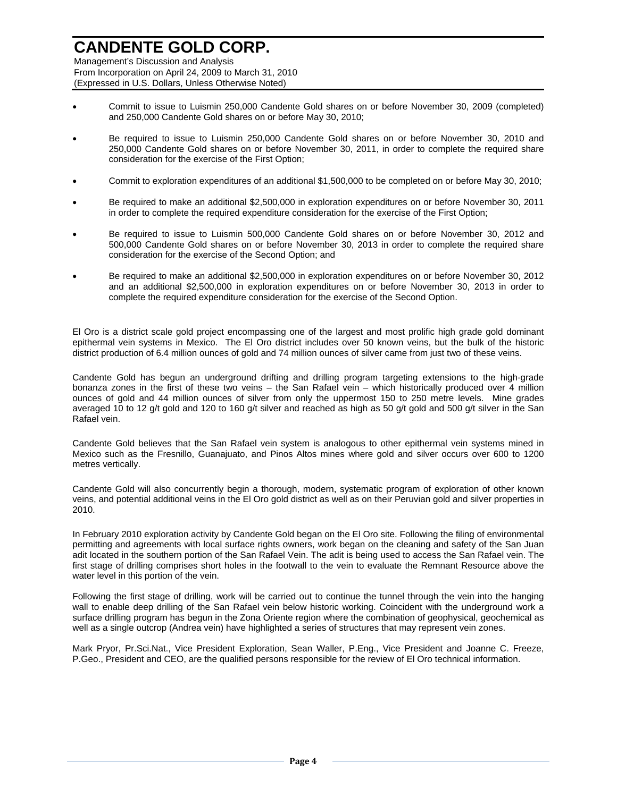Management's Discussion and Analysis From Incorporation on April 24, 2009 to March 31, 2010 (Expressed in U.S. Dollars, Unless Otherwise Noted)

- Commit to issue to Luismin 250,000 Candente Gold shares on or before November 30, 2009 (completed) and 250,000 Candente Gold shares on or before May 30, 2010;
- Be required to issue to Luismin 250,000 Candente Gold shares on or before November 30, 2010 and 250,000 Candente Gold shares on or before November 30, 2011, in order to complete the required share consideration for the exercise of the First Option;
- Commit to exploration expenditures of an additional \$1,500,000 to be completed on or before May 30, 2010;
- Be required to make an additional \$2,500,000 in exploration expenditures on or before November 30, 2011 in order to complete the required expenditure consideration for the exercise of the First Option;
- Be required to issue to Luismin 500,000 Candente Gold shares on or before November 30, 2012 and 500,000 Candente Gold shares on or before November 30, 2013 in order to complete the required share consideration for the exercise of the Second Option; and
- Be required to make an additional \$2,500,000 in exploration expenditures on or before November 30, 2012 and an additional \$2,500,000 in exploration expenditures on or before November 30, 2013 in order to complete the required expenditure consideration for the exercise of the Second Option.

El Oro is a district scale gold project encompassing one of the largest and most prolific high grade gold dominant epithermal vein systems in Mexico. The El Oro district includes over 50 known veins, but the bulk of the historic district production of 6.4 million ounces of gold and 74 million ounces of silver came from just two of these veins.

Candente Gold has begun an underground drifting and drilling program targeting extensions to the high-grade bonanza zones in the first of these two veins – the San Rafael vein – which historically produced over 4 million ounces of gold and 44 million ounces of silver from only the uppermost 150 to 250 metre levels. Mine grades averaged 10 to 12 g/t gold and 120 to 160 g/t silver and reached as high as 50 g/t gold and 500 g/t silver in the San Rafael vein.

Candente Gold believes that the San Rafael vein system is analogous to other epithermal vein systems mined in Mexico such as the Fresnillo, Guanajuato, and Pinos Altos mines where gold and silver occurs over 600 to 1200 metres vertically.

Candente Gold will also concurrently begin a thorough, modern, systematic program of exploration of other known veins, and potential additional veins in the El Oro gold district as well as on their Peruvian gold and silver properties in 2010.

In February 2010 exploration activity by Candente Gold began on the El Oro site. Following the filing of environmental permitting and agreements with local surface rights owners, work began on the cleaning and safety of the San Juan adit located in the southern portion of the San Rafael Vein. The adit is being used to access the San Rafael vein. The first stage of drilling comprises short holes in the footwall to the vein to evaluate the Remnant Resource above the water level in this portion of the vein.

Following the first stage of drilling, work will be carried out to continue the tunnel through the vein into the hanging wall to enable deep drilling of the San Rafael vein below historic working. Coincident with the underground work a surface drilling program has begun in the Zona Oriente region where the combination of geophysical, geochemical as well as a single outcrop (Andrea vein) have highlighted a series of structures that may represent vein zones.

Mark Pryor, Pr.Sci.Nat., Vice President Exploration, Sean Waller, P.Eng., Vice President and Joanne C. Freeze, P.Geo., President and CEO, are the qualified persons responsible for the review of El Oro technical information.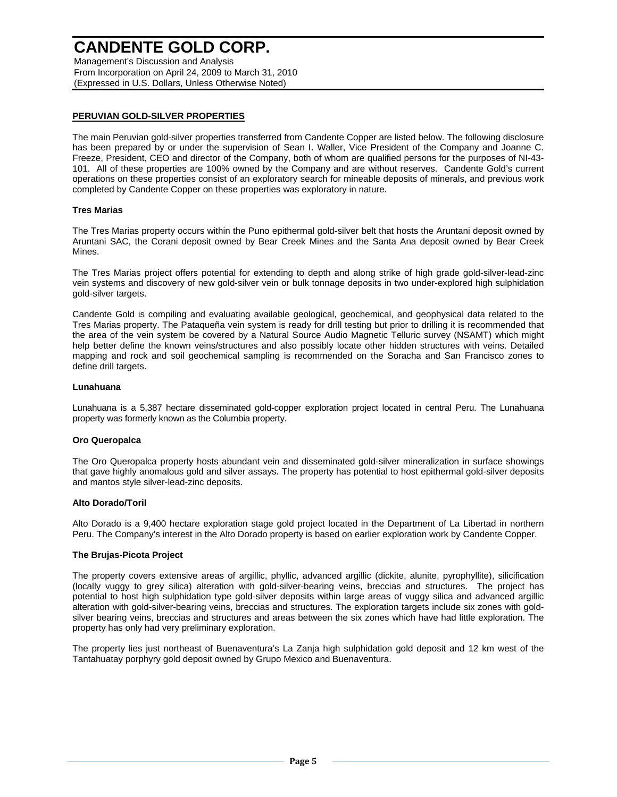Management's Discussion and Analysis From Incorporation on April 24, 2009 to March 31, 2010 (Expressed in U.S. Dollars, Unless Otherwise Noted)

## **PERUVIAN GOLD-SILVER PROPERTIES**

The main Peruvian gold-silver properties transferred from Candente Copper are listed below. The following disclosure has been prepared by or under the supervision of Sean I. Waller, Vice President of the Company and Joanne C. Freeze, President, CEO and director of the Company, both of whom are qualified persons for the purposes of NI-43- 101. All of these properties are 100% owned by the Company and are without reserves. Candente Gold's current operations on these properties consist of an exploratory search for mineable deposits of minerals, and previous work completed by Candente Copper on these properties was exploratory in nature.

## **Tres Marias**

The Tres Marias property occurs within the Puno epithermal gold-silver belt that hosts the Aruntani deposit owned by Aruntani SAC, the Corani deposit owned by Bear Creek Mines and the Santa Ana deposit owned by Bear Creek Mines.

The Tres Marias project offers potential for extending to depth and along strike of high grade gold-silver-lead-zinc vein systems and discovery of new gold-silver vein or bulk tonnage deposits in two under-explored high sulphidation gold-silver targets.

Candente Gold is compiling and evaluating available geological, geochemical, and geophysical data related to the Tres Marias property. The Pataqueña vein system is ready for drill testing but prior to drilling it is recommended that the area of the vein system be covered by a Natural Source Audio Magnetic Telluric survey (NSAMT) which might help better define the known veins/structures and also possibly locate other hidden structures with veins. Detailed mapping and rock and soil geochemical sampling is recommended on the Soracha and San Francisco zones to define drill targets.

### **Lunahuana**

Lunahuana is a 5,387 hectare disseminated gold-copper exploration project located in central Peru. The Lunahuana property was formerly known as the Columbia property.

### **Oro Queropalca**

The Oro Queropalca property hosts abundant vein and disseminated gold-silver mineralization in surface showings that gave highly anomalous gold and silver assays. The property has potential to host epithermal gold-silver deposits and mantos style silver-lead-zinc deposits.

### **Alto Dorado/Toril**

Alto Dorado is a 9,400 hectare exploration stage gold project located in the Department of La Libertad in northern Peru. The Company's interest in the Alto Dorado property is based on earlier exploration work by Candente Copper.

### **The Brujas-Picota Project**

The property covers extensive areas of argillic, phyllic, advanced argillic (dickite, alunite, pyrophyllite), silicification (locally vuggy to grey silica) alteration with gold-silver-bearing veins, breccias and structures. The project has potential to host high sulphidation type gold-silver deposits within large areas of vuggy silica and advanced argillic alteration with gold-silver-bearing veins, breccias and structures. The exploration targets include six zones with goldsilver bearing veins, breccias and structures and areas between the six zones which have had little exploration. The property has only had very preliminary exploration.

The property lies just northeast of Buenaventura's La Zanja high sulphidation gold deposit and 12 km west of the Tantahuatay porphyry gold deposit owned by Grupo Mexico and Buenaventura.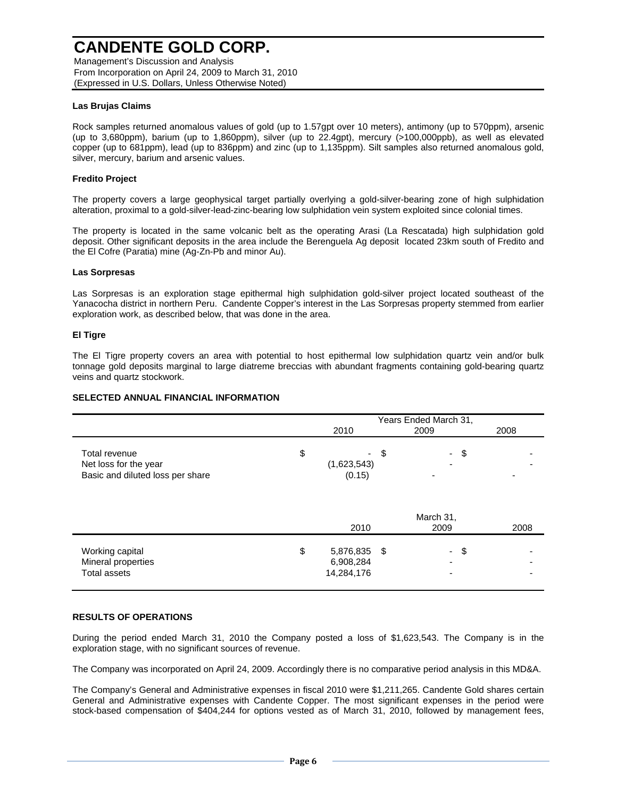Management's Discussion and Analysis From Incorporation on April 24, 2009 to March 31, 2010 (Expressed in U.S. Dollars, Unless Otherwise Noted)

## **Las Brujas Claims**

Rock samples returned anomalous values of gold (up to 1.57gpt over 10 meters), antimony (up to 570ppm), arsenic (up to 3,680ppm), barium (up to 1,860ppm), silver (up to 22.4gpt), mercury (>100,000ppb), as well as elevated copper (up to 681ppm), lead (up to 836ppm) and zinc (up to 1,135ppm). Silt samples also returned anomalous gold, silver, mercury, barium and arsenic values.

## **Fredito Project**

The property covers a large geophysical target partially overlying a gold-silver-bearing zone of high sulphidation alteration, proximal to a gold-silver-lead-zinc-bearing low sulphidation vein system exploited since colonial times.

The property is located in the same volcanic belt as the operating Arasi (La Rescatada) high sulphidation gold deposit. Other significant deposits in the area include the Berenguela Ag deposit located 23km south of Fredito and the El Cofre (Paratia) mine (Ag-Zn-Pb and minor Au).

### **Las Sorpresas**

Las Sorpresas is an exploration stage epithermal high sulphidation gold-silver project located southeast of the Yanacocha district in northern Peru. Candente Copper's interest in the Las Sorpresas property stemmed from earlier exploration work, as described below, that was done in the area.

## **El Tigre**

The El Tigre property covers an area with potential to host epithermal low sulphidation quartz vein and/or bulk tonnage gold deposits marginal to large diatreme breccias with abundant fragments containing gold-bearing quartz veins and quartz stockwork.

### **SELECTED ANNUAL FINANCIAL INFORMATION**

|                                                                            | 2010                                       |      | Years Ended March 31,<br>2009 | 2008 |  |
|----------------------------------------------------------------------------|--------------------------------------------|------|-------------------------------|------|--|
| Total revenue<br>Net loss for the year<br>Basic and diluted loss per share | \$<br>(1,623,543)<br>(0.15)                | \$   | - \$                          |      |  |
|                                                                            | 2010                                       |      | March 31,<br>2009             | 2008 |  |
| Working capital<br>Mineral properties<br><b>Total assets</b>               | \$<br>5,876,835<br>6,908,284<br>14,284,176 | - \$ | - \$                          |      |  |

### **RESULTS OF OPERATIONS**

During the period ended March 31, 2010 the Company posted a loss of \$1,623,543. The Company is in the exploration stage, with no significant sources of revenue.

The Company was incorporated on April 24, 2009. Accordingly there is no comparative period analysis in this MD&A.

The Company's General and Administrative expenses in fiscal 2010 were \$1,211,265. Candente Gold shares certain General and Administrative expenses with Candente Copper. The most significant expenses in the period were stock-based compensation of \$404,244 for options vested as of March 31, 2010, followed by management fees,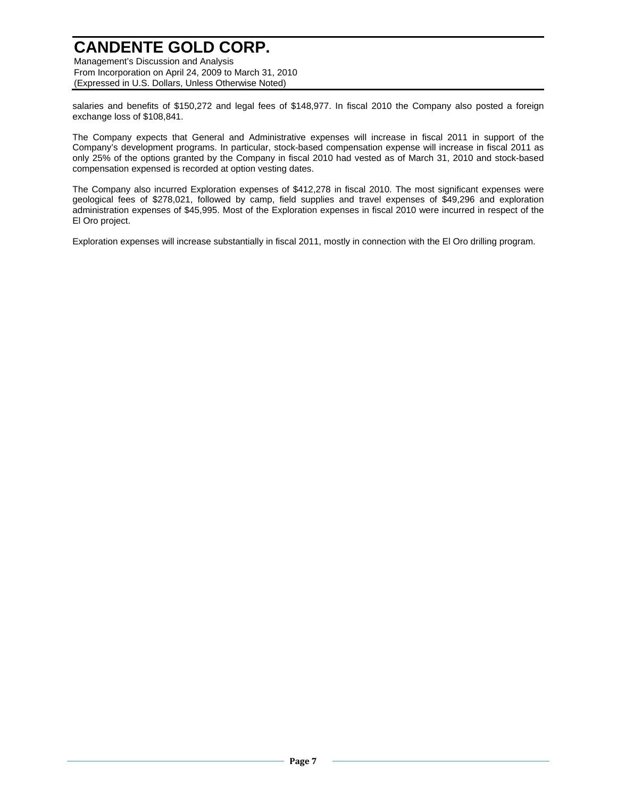Management's Discussion and Analysis From Incorporation on April 24, 2009 to March 31, 2010 (Expressed in U.S. Dollars, Unless Otherwise Noted)

salaries and benefits of \$150,272 and legal fees of \$148,977. In fiscal 2010 the Company also posted a foreign exchange loss of \$108,841.

The Company expects that General and Administrative expenses will increase in fiscal 2011 in support of the Company's development programs. In particular, stock-based compensation expense will increase in fiscal 2011 as only 25% of the options granted by the Company in fiscal 2010 had vested as of March 31, 2010 and stock-based compensation expensed is recorded at option vesting dates.

The Company also incurred Exploration expenses of \$412,278 in fiscal 2010. The most significant expenses were geological fees of \$278,021, followed by camp, field supplies and travel expenses of \$49,296 and exploration administration expenses of \$45,995. Most of the Exploration expenses in fiscal 2010 were incurred in respect of the El Oro project.

Exploration expenses will increase substantially in fiscal 2011, mostly in connection with the El Oro drilling program.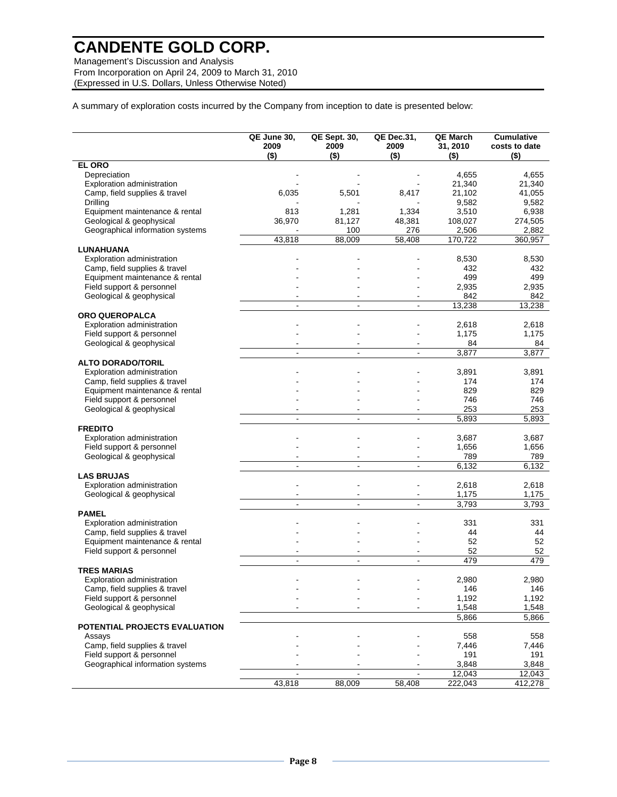Management's Discussion and Analysis From Incorporation on April 24, 2009 to March 31, 2010 (Expressed in U.S. Dollars, Unless Otherwise Noted)

A summary of exploration costs incurred by the Company from inception to date is presented below:

|                                  | QE June 30,<br>2009<br>$($ \$) | <b>QE Sept. 30,</b><br>2009<br>$($ \$) | <b>QE Dec.31,</b><br>2009<br>$($ \$) | <b>QE March</b><br>31, 2010<br>$($ \$) | <b>Cumulative</b><br>costs to date<br>$($ \$) |
|----------------------------------|--------------------------------|----------------------------------------|--------------------------------------|----------------------------------------|-----------------------------------------------|
| <b>EL ORO</b>                    |                                |                                        |                                      |                                        |                                               |
| Depreciation                     |                                |                                        |                                      | 4,655                                  | 4,655                                         |
| Exploration administration       |                                |                                        |                                      | 21,340                                 | 21,340                                        |
| Camp, field supplies & travel    | 6,035                          | 5,501                                  | 8,417                                | 21,102                                 | 41,055                                        |
| Drilling                         |                                |                                        |                                      | 9,582                                  | 9,582                                         |
| Equipment maintenance & rental   | 813                            | 1,281                                  | 1,334                                | 3,510                                  | 6,938                                         |
| Geological & geophysical         | 36,970                         | 81,127                                 | 48,381                               | 108,027                                | 274,505                                       |
| Geographical information systems |                                | 100                                    | 276                                  | 2,506                                  | 2,882                                         |
|                                  | 43,818                         | 88,009                                 | 58,408                               | 170,722                                | 360,957                                       |
| LUNAHUANA                        |                                |                                        |                                      |                                        |                                               |
| Exploration administration       |                                |                                        |                                      | 8,530                                  | 8,530                                         |
| Camp, field supplies & travel    |                                |                                        |                                      | 432                                    | 432                                           |
| Equipment maintenance & rental   |                                |                                        |                                      | 499                                    | 499                                           |
| Field support & personnel        |                                |                                        |                                      | 2,935                                  | 2,935                                         |
| Geological & geophysical         |                                |                                        |                                      | 842                                    | 842                                           |
|                                  | $\blacksquare$                 | $\blacksquare$                         | $\mathbf{r}$                         | 13,238                                 | 13,238                                        |
| <b>ORO QUEROPALCA</b>            |                                |                                        |                                      |                                        |                                               |
| Exploration administration       |                                |                                        |                                      | 2,618                                  | 2,618                                         |
| Field support & personnel        |                                |                                        |                                      | 1,175                                  | 1,175                                         |
| Geological & geophysical         |                                |                                        |                                      | 84                                     | 84                                            |
|                                  | $\blacksquare$                 | $\blacksquare$                         | $\blacksquare$                       | 3,877                                  | 3,877                                         |
| <b>ALTO DORADO/TORIL</b>         |                                |                                        |                                      |                                        |                                               |
| Exploration administration       |                                |                                        |                                      | 3,891                                  | 3,891                                         |
| Camp, field supplies & travel    |                                |                                        |                                      | 174                                    | 174                                           |
| Equipment maintenance & rental   |                                |                                        |                                      | 829                                    | 829                                           |
| Field support & personnel        |                                |                                        |                                      | 746                                    | 746                                           |
| Geological & geophysical         |                                |                                        |                                      | 253                                    | 253                                           |
|                                  |                                | ä,                                     | $\overline{\phantom{a}}$             | 5,893                                  | 5,893                                         |
| <b>FREDITO</b>                   |                                |                                        |                                      |                                        |                                               |
|                                  |                                |                                        |                                      |                                        |                                               |
| Exploration administration       |                                |                                        |                                      | 3,687                                  | 3,687                                         |
| Field support & personnel        |                                |                                        |                                      | 1,656                                  | 1,656                                         |
| Geological & geophysical         |                                |                                        |                                      | 789                                    | 789                                           |
|                                  | $\blacksquare$                 | $\blacksquare$                         | $\blacksquare$                       | 6,132                                  | 6,132                                         |
| <b>LAS BRUJAS</b>                |                                |                                        |                                      |                                        |                                               |
| Exploration administration       |                                |                                        |                                      | 2,618                                  | 2,618                                         |
| Geological & geophysical         |                                |                                        |                                      | 1,175                                  | 1,175                                         |
|                                  | $\overline{a}$                 | $\blacksquare$                         | $\blacksquare$                       | 3,793                                  | 3,793                                         |
| <b>PAMEL</b>                     |                                |                                        |                                      |                                        |                                               |
| Exploration administration       |                                |                                        |                                      | 331                                    | 331                                           |
| Camp, field supplies & travel    |                                |                                        |                                      | 44                                     | 44                                            |
| Equipment maintenance & rental   |                                |                                        |                                      | 52                                     | 52                                            |
| Field support & personnel        |                                |                                        |                                      | 52                                     | 52                                            |
|                                  |                                |                                        |                                      | 479                                    | 479                                           |
| <b>TRES MARIAS</b>               |                                |                                        |                                      |                                        |                                               |
| Exploration administration       |                                |                                        |                                      | 2,980                                  | 2,980                                         |
| Camp, field supplies & travel    |                                |                                        |                                      | 146                                    | 146                                           |
| Field support & personnel        |                                |                                        |                                      | 1,192                                  | 1,192                                         |
| Geological & geophysical         |                                |                                        |                                      | 1,548                                  | 1,548                                         |
|                                  |                                |                                        |                                      | 5,866                                  | 5,866                                         |
| POTENTIAL PROJECTS EVALUATION    |                                |                                        |                                      |                                        |                                               |
| Assays                           |                                |                                        |                                      | 558                                    | 558                                           |
| Camp, field supplies & travel    |                                |                                        |                                      | 7,446                                  | 7,446                                         |
| Field support & personnel        |                                |                                        |                                      | 191                                    | 191                                           |
| Geographical information systems |                                |                                        |                                      | 3,848                                  | 3,848                                         |
|                                  |                                |                                        | $\blacksquare$                       | 12,043                                 | 12,043                                        |
|                                  | 43,818                         | 88,009                                 | 58,408                               | 222,043                                | 412,278                                       |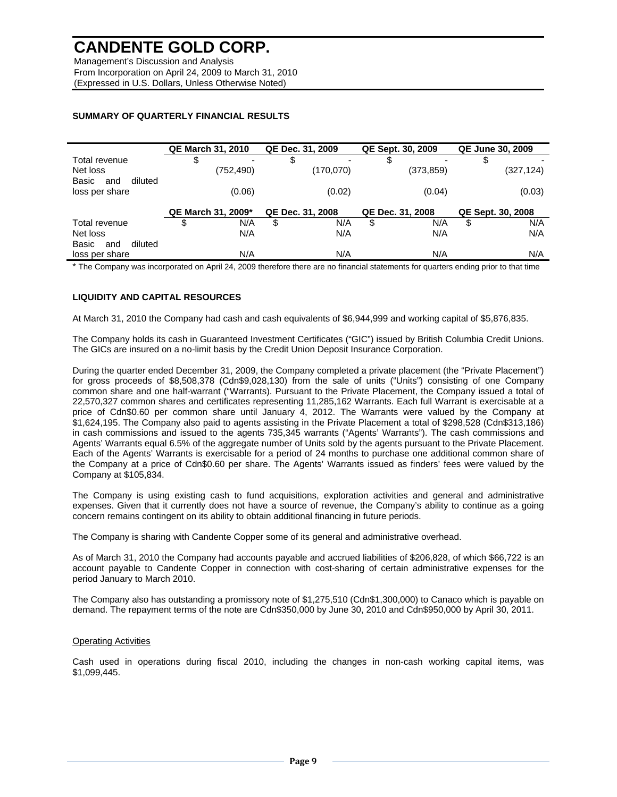Management's Discussion and Analysis From Incorporation on April 24, 2009 to March 31, 2010 (Expressed in U.S. Dollars, Unless Otherwise Noted)

## **SUMMARY OF QUARTERLY FINANCIAL RESULTS**

|                         | <b>QE March 31, 2010</b> |            | QE Dec. 31, 2009 |           | QE Sept. 30, 2009 |            | <b>QE June 30, 2009</b> |            |
|-------------------------|--------------------------|------------|------------------|-----------|-------------------|------------|-------------------------|------------|
| Total revenue           | \$                       |            | \$               |           | S                 |            |                         |            |
| Net loss                |                          | (752, 490) |                  | (170,070) |                   | (373, 859) |                         | (327, 124) |
| Basic<br>diluted<br>and |                          |            |                  |           |                   |            |                         |            |
| loss per share          |                          | (0.06)     |                  | (0.02)    |                   | (0.04)     |                         | (0.03)     |
|                         | QE March 31, 2009*       |            | QE Dec. 31, 2008 |           | QE Dec. 31, 2008  |            | QE Sept. 30, 2008       |            |
| Total revenue           | \$                       | N/A        | \$               | N/A       | \$                | N/A        | \$                      | N/A        |
| Net loss                |                          | N/A        |                  | N/A       |                   | N/A        |                         | N/A        |
| Basic<br>diluted<br>and |                          |            |                  |           |                   |            |                         |            |
| loss per share          |                          | N/A        |                  | N/A       |                   | N/A        |                         | N/A        |

\* The Company was incorporated on April 24, 2009 therefore there are no financial statements for quarters ending prior to that time

## **LIQUIDITY AND CAPITAL RESOURCES**

At March 31, 2010 the Company had cash and cash equivalents of \$6,944,999 and working capital of \$5,876,835.

The Company holds its cash in Guaranteed Investment Certificates ("GIC") issued by British Columbia Credit Unions. The GICs are insured on a no-limit basis by the Credit Union Deposit Insurance Corporation.

During the quarter ended December 31, 2009, the Company completed a private placement (the "Private Placement") for gross proceeds of \$8,508,378 (Cdn\$9,028,130) from the sale of units ("Units") consisting of one Company common share and one half-warrant ("Warrants). Pursuant to the Private Placement, the Company issued a total of 22,570,327 common shares and certificates representing 11,285,162 Warrants. Each full Warrant is exercisable at a price of Cdn\$0.60 per common share until January 4, 2012. The Warrants were valued by the Company at \$1,624,195. The Company also paid to agents assisting in the Private Placement a total of \$298,528 (Cdn\$313,186) in cash commissions and issued to the agents 735,345 warrants ("Agents' Warrants"). The cash commissions and Agents' Warrants equal 6.5% of the aggregate number of Units sold by the agents pursuant to the Private Placement. Each of the Agents' Warrants is exercisable for a period of 24 months to purchase one additional common share of the Company at a price of Cdn\$0.60 per share. The Agents' Warrants issued as finders' fees were valued by the Company at \$105,834.

The Company is using existing cash to fund acquisitions, exploration activities and general and administrative expenses. Given that it currently does not have a source of revenue, the Company's ability to continue as a going concern remains contingent on its ability to obtain additional financing in future periods.

The Company is sharing with Candente Copper some of its general and administrative overhead.

As of March 31, 2010 the Company had accounts payable and accrued liabilities of \$206,828, of which \$66,722 is an account payable to Candente Copper in connection with cost-sharing of certain administrative expenses for the period January to March 2010.

The Company also has outstanding a promissory note of \$1,275,510 (Cdn\$1,300,000) to Canaco which is payable on demand. The repayment terms of the note are Cdn\$350,000 by June 30, 2010 and Cdn\$950,000 by April 30, 2011.

### Operating Activities

Cash used in operations during fiscal 2010, including the changes in non-cash working capital items, was \$1,099,445.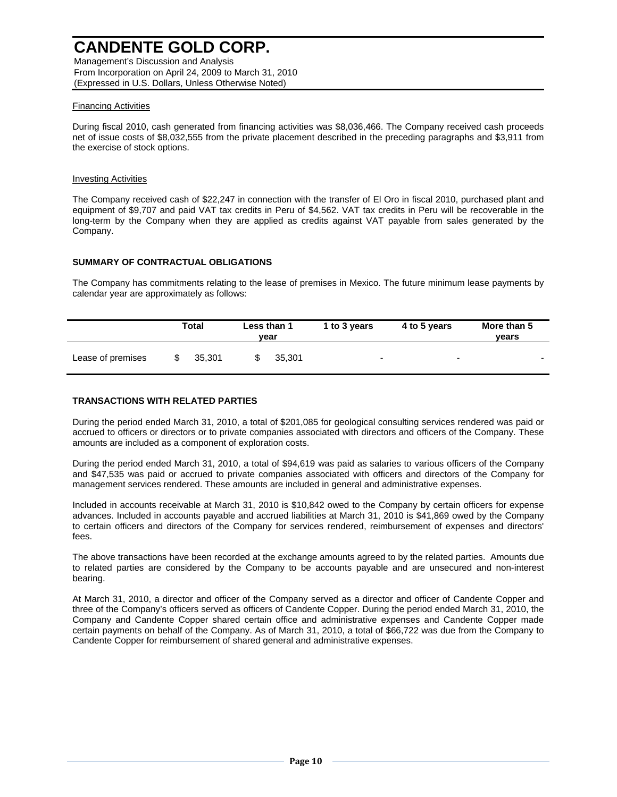Management's Discussion and Analysis From Incorporation on April 24, 2009 to March 31, 2010 (Expressed in U.S. Dollars, Unless Otherwise Noted)

## Financing Activities

During fiscal 2010, cash generated from financing activities was \$8,036,466. The Company received cash proceeds net of issue costs of \$8,032,555 from the private placement described in the preceding paragraphs and \$3,911 from the exercise of stock options.

### Investing Activities

The Company received cash of \$22,247 in connection with the transfer of El Oro in fiscal 2010, purchased plant and equipment of \$9,707 and paid VAT tax credits in Peru of \$4,562. VAT tax credits in Peru will be recoverable in the long-term by the Company when they are applied as credits against VAT payable from sales generated by the Company.

## **SUMMARY OF CONTRACTUAL OBLIGATIONS**

The Company has commitments relating to the lease of premises in Mexico. The future minimum lease payments by calendar year are approximately as follows:

|                   | Total  | Less than 1<br>vear |        | 1 to 3 years             | 4 to 5 years             | More than 5<br>vears     |
|-------------------|--------|---------------------|--------|--------------------------|--------------------------|--------------------------|
| Lease of premises | 35.301 |                     | 35.301 | $\overline{\phantom{0}}$ | $\overline{\phantom{a}}$ | $\overline{\phantom{0}}$ |

## **TRANSACTIONS WITH RELATED PARTIES**

During the period ended March 31, 2010, a total of \$201,085 for geological consulting services rendered was paid or accrued to officers or directors or to private companies associated with directors and officers of the Company. These amounts are included as a component of exploration costs.

During the period ended March 31, 2010, a total of \$94,619 was paid as salaries to various officers of the Company and \$47,535 was paid or accrued to private companies associated with officers and directors of the Company for management services rendered. These amounts are included in general and administrative expenses.

Included in accounts receivable at March 31, 2010 is \$10,842 owed to the Company by certain officers for expense advances. Included in accounts payable and accrued liabilities at March 31, 2010 is \$41,869 owed by the Company to certain officers and directors of the Company for services rendered, reimbursement of expenses and directors' fees.

The above transactions have been recorded at the exchange amounts agreed to by the related parties. Amounts due to related parties are considered by the Company to be accounts payable and are unsecured and non-interest bearing.

At March 31, 2010, a director and officer of the Company served as a director and officer of Candente Copper and three of the Company's officers served as officers of Candente Copper. During the period ended March 31, 2010, the Company and Candente Copper shared certain office and administrative expenses and Candente Copper made certain payments on behalf of the Company. As of March 31, 2010, a total of \$66,722 was due from the Company to Candente Copper for reimbursement of shared general and administrative expenses.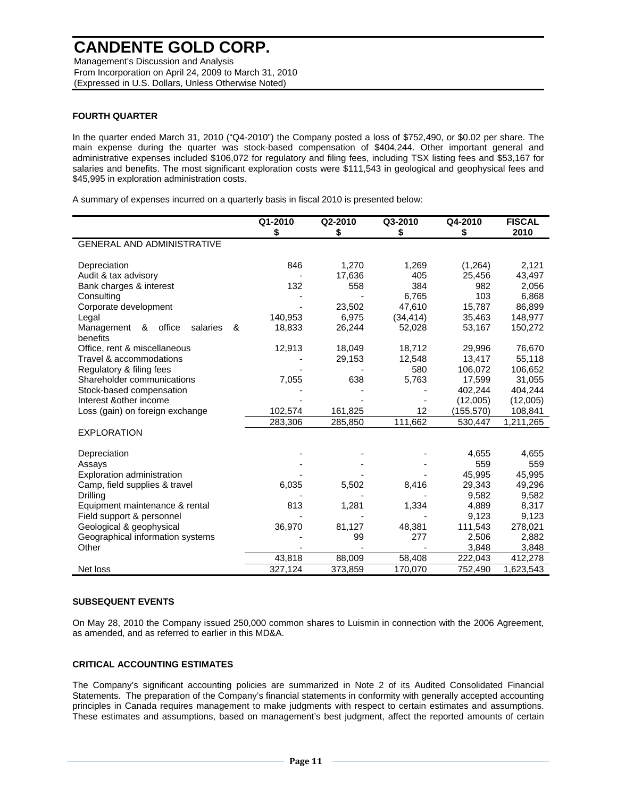Management's Discussion and Analysis From Incorporation on April 24, 2009 to March 31, 2010 (Expressed in U.S. Dollars, Unless Otherwise Noted)

## **FOURTH QUARTER**

In the quarter ended March 31, 2010 ("Q4-2010") the Company posted a loss of \$752,490, or \$0.02 per share. The main expense during the quarter was stock-based compensation of \$404,244. Other important general and administrative expenses included \$106,072 for regulatory and filing fees, including TSX listing fees and \$53,167 for salaries and benefits. The most significant exploration costs were \$111,543 in geological and geophysical fees and \$45,995 in exploration administration costs.

A summary of expenses incurred on a quarterly basis in fiscal 2010 is presented below:

|                                            | Q1-2010<br>\$ | Q2-2010<br>\$ | Q3-2010<br>\$     | Q4-2010<br>\$ | <b>FISCAL</b><br>2010 |
|--------------------------------------------|---------------|---------------|-------------------|---------------|-----------------------|
| <b>GENERAL AND ADMINISTRATIVE</b>          |               |               |                   |               |                       |
|                                            |               |               |                   |               |                       |
| Depreciation                               | 846           | 1,270         | 1,269             | (1, 264)      | 2,121                 |
| Audit & tax advisory                       |               | 17,636        | 405               | 25,456        | 43,497                |
| Bank charges & interest                    | 132           | 558           | 384               | 982           | 2,056                 |
| Consulting                                 |               |               | 6.765             | 103           | 6,868                 |
| Corporate development                      |               | 23.502        | 47.610            | 15,787        | 86,899                |
| Legal                                      | 140,953       | 6,975         | (34, 414)         | 35,463        | 148,977               |
| office<br>Management<br>salaries<br>&<br>& | 18,833        | 26,244        | 52,028            | 53,167        | 150,272               |
| benefits                                   |               |               |                   |               |                       |
| Office, rent & miscellaneous               | 12,913        | 18,049        | 18,712            | 29,996        | 76,670                |
| Travel & accommodations                    |               | 29,153        | 12,548            | 13,417        | 55,118                |
| Regulatory & filing fees                   |               |               | 580               | 106,072       | 106,652               |
| Shareholder communications                 | 7,055         | 638           | 5,763             | 17,599        | 31,055                |
| Stock-based compensation                   |               |               |                   | 402,244       | 404,244               |
| Interest & other income                    |               |               |                   | (12,005)      | (12,005)              |
| Loss (gain) on foreign exchange            | 102,574       | 161,825       | $12 \overline{ }$ | (155,570)     | 108,841               |
|                                            | 283,306       | 285,850       | 111,662           | 530,447       | 1,211,265             |
| <b>EXPLORATION</b>                         |               |               |                   |               |                       |
| Depreciation                               |               |               |                   | 4,655         | 4,655                 |
| Assays                                     |               |               |                   | 559           | 559                   |
| Exploration administration                 |               |               |                   | 45,995        | 45,995                |
| Camp, field supplies & travel              | 6,035         | 5,502         | 8,416             | 29,343        | 49,296                |
| Drilling                                   |               |               |                   | 9,582         | 9,582                 |
| Equipment maintenance & rental             | 813           | 1,281         | 1,334             | 4,889         | 8,317                 |
| Field support & personnel                  |               |               |                   | 9,123         | 9,123                 |
| Geological & geophysical                   | 36,970        | 81,127        | 48,381            | 111,543       | 278,021               |
| Geographical information systems           |               | 99            | 277               | 2,506         | 2,882                 |
| Other                                      |               |               |                   | 3,848         | 3,848                 |
|                                            | 43,818        | 88,009        | 58,408            | 222,043       | 412,278               |
| Net loss                                   | 327,124       | 373,859       | 170,070           | 752,490       | 1,623,543             |

### **SUBSEQUENT EVENTS**

On May 28, 2010 the Company issued 250,000 common shares to Luismin in connection with the 2006 Agreement, as amended, and as referred to earlier in this MD&A.

## **CRITICAL ACCOUNTING ESTIMATES**

The Company's significant accounting policies are summarized in Note 2 of its Audited Consolidated Financial Statements. The preparation of the Company's financial statements in conformity with generally accepted accounting principles in Canada requires management to make judgments with respect to certain estimates and assumptions. These estimates and assumptions, based on management's best judgment, affect the reported amounts of certain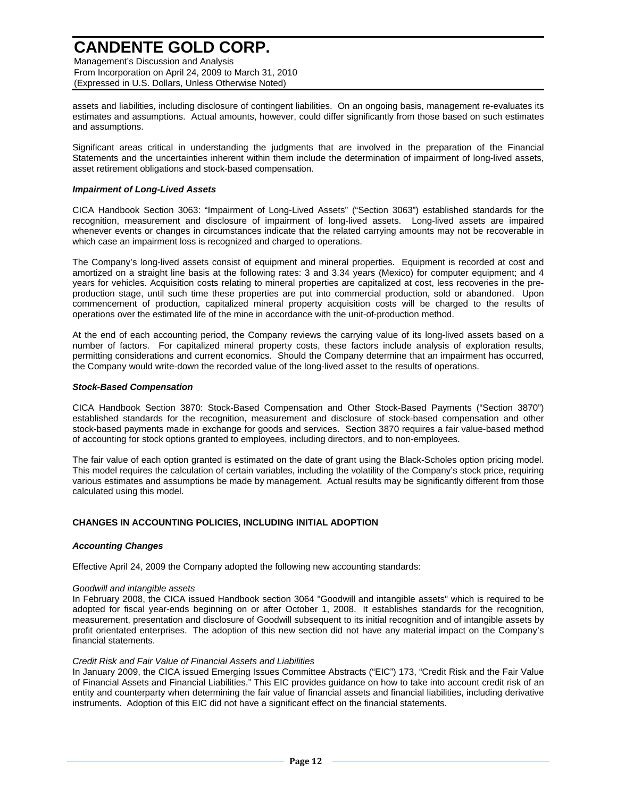Management's Discussion and Analysis From Incorporation on April 24, 2009 to March 31, 2010 (Expressed in U.S. Dollars, Unless Otherwise Noted)

assets and liabilities, including disclosure of contingent liabilities. On an ongoing basis, management re-evaluates its estimates and assumptions. Actual amounts, however, could differ significantly from those based on such estimates and assumptions.

Significant areas critical in understanding the judgments that are involved in the preparation of the Financial Statements and the uncertainties inherent within them include the determination of impairment of long-lived assets, asset retirement obligations and stock-based compensation.

### *Impairment of Long-Lived Assets*

CICA Handbook Section 3063: "Impairment of Long-Lived Assets" ("Section 3063") established standards for the recognition, measurement and disclosure of impairment of long-lived assets. Long-lived assets are impaired whenever events or changes in circumstances indicate that the related carrying amounts may not be recoverable in which case an impairment loss is recognized and charged to operations.

The Company's long-lived assets consist of equipment and mineral properties. Equipment is recorded at cost and amortized on a straight line basis at the following rates: 3 and 3.34 years (Mexico) for computer equipment; and 4 years for vehicles. Acquisition costs relating to mineral properties are capitalized at cost, less recoveries in the preproduction stage, until such time these properties are put into commercial production, sold or abandoned. Upon commencement of production, capitalized mineral property acquisition costs will be charged to the results of operations over the estimated life of the mine in accordance with the unit-of-production method.

At the end of each accounting period, the Company reviews the carrying value of its long-lived assets based on a number of factors. For capitalized mineral property costs, these factors include analysis of exploration results, permitting considerations and current economics. Should the Company determine that an impairment has occurred, the Company would write-down the recorded value of the long-lived asset to the results of operations.

### *Stock-Based Compensation*

CICA Handbook Section 3870: Stock-Based Compensation and Other Stock-Based Payments ("Section 3870") established standards for the recognition, measurement and disclosure of stock-based compensation and other stock-based payments made in exchange for goods and services. Section 3870 requires a fair value-based method of accounting for stock options granted to employees, including directors, and to non-employees.

The fair value of each option granted is estimated on the date of grant using the Black-Scholes option pricing model. This model requires the calculation of certain variables, including the volatility of the Company's stock price, requiring various estimates and assumptions be made by management. Actual results may be significantly different from those calculated using this model.

## **CHANGES IN ACCOUNTING POLICIES, INCLUDING INITIAL ADOPTION**

### *Accounting Changes*

Effective April 24, 2009 the Company adopted the following new accounting standards:

### *Goodwill and intangible assets*

In February 2008, the CICA issued Handbook section 3064 "Goodwill and intangible assets" which is required to be adopted for fiscal year-ends beginning on or after October 1, 2008. It establishes standards for the recognition, measurement, presentation and disclosure of Goodwill subsequent to its initial recognition and of intangible assets by profit orientated enterprises. The adoption of this new section did not have any material impact on the Company's financial statements.

### *Credit Risk and Fair Value of Financial Assets and Liabilities*

In January 2009, the CICA issued Emerging Issues Committee Abstracts ("EIC") 173, "Credit Risk and the Fair Value of Financial Assets and Financial Liabilities." This EIC provides guidance on how to take into account credit risk of an entity and counterparty when determining the fair value of financial assets and financial liabilities, including derivative instruments. Adoption of this EIC did not have a significant effect on the financial statements.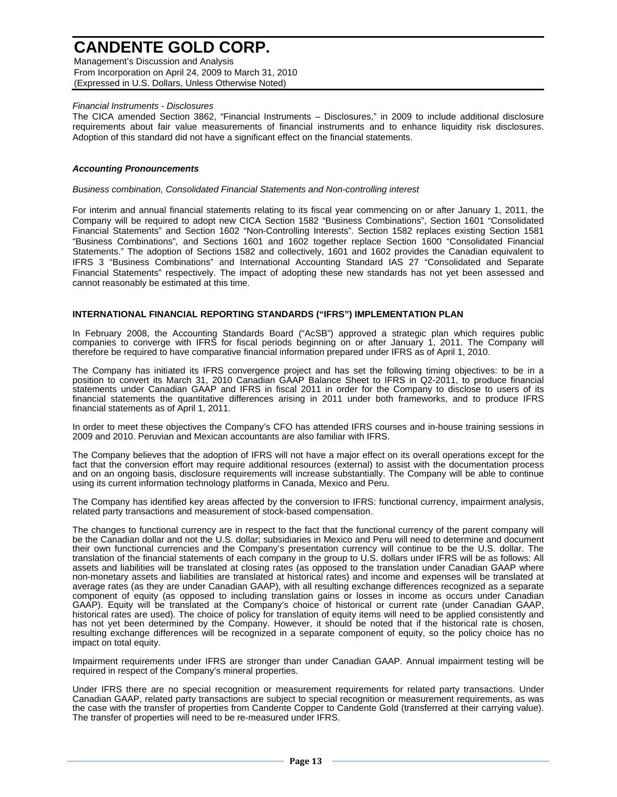Management's Discussion and Analysis From Incorporation on April 24, 2009 to March 31, 2010 (Expressed in U.S. Dollars, Unless Otherwise Noted)

### *Financial Instruments - Disclosures*

The CICA amended Section 3862, "Financial Instruments – Disclosures," in 2009 to include additional disclosure requirements about fair value measurements of financial instruments and to enhance liquidity risk disclosures. Adoption of this standard did not have a significant effect on the financial statements.

#### *Accounting Pronouncements*

#### *Business combination, Consolidated Financial Statements and Non-controlling interest*

For interim and annual financial statements relating to its fiscal year commencing on or after January 1, 2011, the Company will be required to adopt new CICA Section 1582 "Business Combinations", Section 1601 "Consolidated Financial Statements" and Section 1602 "Non-Controlling Interests". Section 1582 replaces existing Section 1581 "Business Combinations", and Sections 1601 and 1602 together replace Section 1600 "Consolidated Financial Statements." The adoption of Sections 1582 and collectively, 1601 and 1602 provides the Canadian equivalent to IFRS 3 "Business Combinations" and International Accounting Standard IAS 27 "Consolidated and Separate Financial Statements" respectively. The impact of adopting these new standards has not yet been assessed and cannot reasonably be estimated at this time.

### **INTERNATIONAL FINANCIAL REPORTING STANDARDS ("IFRS") IMPLEMENTATION PLAN**

In February 2008, the Accounting Standards Board ("AcSB") approved a strategic plan which requires public companies to converge with IFRS for fiscal periods beginning on or after January 1, 2011. The Company will therefore be required to have comparative financial information prepared under IFRS as of April 1, 2010.

The Company has initiated its IFRS convergence project and has set the following timing objectives: to be in a position to convert its March 31, 2010 Canadian GAAP Balance Sheet to IFRS in Q2-2011, to produce financial statements under Canadian GAAP and IFRS in fiscal 2011 in order for the Company to disclose to users of its financial statements the quantitative differences arising in 2011 under both frameworks, and to produce IFRS financial statements as of April 1, 2011.

In order to meet these objectives the Company's CFO has attended IFRS courses and in-house training sessions in 2009 and 2010. Peruvian and Mexican accountants are also familiar with IFRS.

The Company believes that the adoption of IFRS will not have a major effect on its overall operations except for the fact that the conversion effort may require additional resources (external) to assist with the documentation process and on an ongoing basis, disclosure requirements will increase substantially. The Company will be able to continue using its current information technology platforms in Canada, Mexico and Peru.

The Company has identified key areas affected by the conversion to IFRS: functional currency, impairment analysis, related party transactions and measurement of stock-based compensation.

The changes to functional currency are in respect to the fact that the functional currency of the parent company will be the Canadian dollar and not the U.S. dollar; subsidiaries in Mexico and Peru will need to determine and document their own functional currencies and the Company's presentation currency will continue to be the U.S. dollar. The translation of the financial statements of each company in the group to U.S. dollars under IFRS will be as follows: All assets and liabilities will be translated at closing rates (as opposed to the translation under Canadian GAAP where non-monetary assets and liabilities are translated at historical rates) and income and expenses will be translated at average rates (as they are under Canadian GAAP), with all resulting exchange differences recognized as a separate component of equity (as opposed to including translation gains or losses in income as occurs under Canadian GAAP). Equity will be translated at the Company's choice of historical or current rate (under Canadian GAAP, historical rates are used). The choice of policy for translation of equity items will need to be applied consistently and has not yet been determined by the Company. However, it should be noted that if the historical rate is chosen, resulting exchange differences will be recognized in a separate component of equity, so the policy choice has no impact on total equity.

Impairment requirements under IFRS are stronger than under Canadian GAAP. Annual impairment testing will be required in respect of the Company's mineral properties.

Under IFRS there are no special recognition or measurement requirements for related party transactions. Under Canadian GAAP, related party transactions are subject to special recognition or measurement requirements, as was the case with the transfer of properties from Candente Copper to Candente Gold (transferred at their carrying value). The transfer of properties will need to be re-measured under IFRS.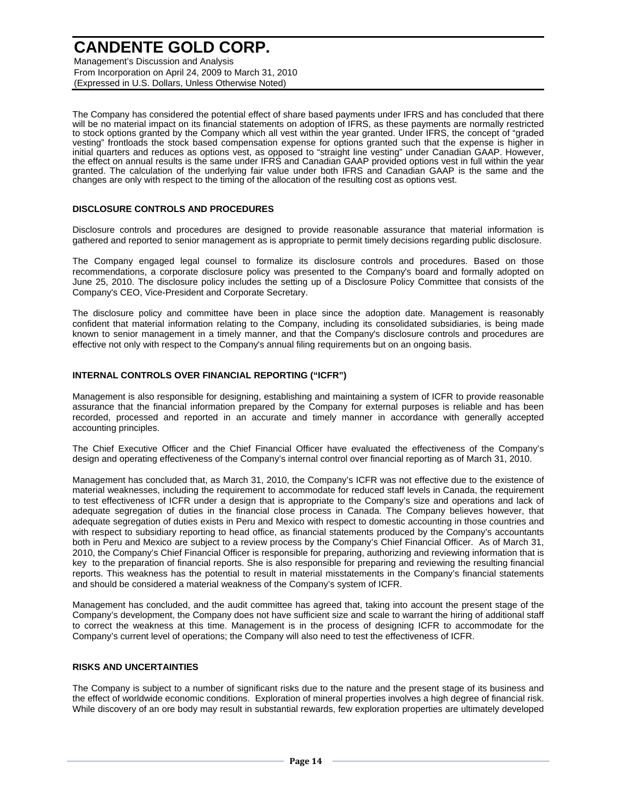Management's Discussion and Analysis From Incorporation on April 24, 2009 to March 31, 2010 (Expressed in U.S. Dollars, Unless Otherwise Noted)

The Company has considered the potential effect of share based payments under IFRS and has concluded that there will be no material impact on its financial statements on adoption of IFRS, as these payments are normally restricted to stock options granted by the Company which all vest within the year granted. Under IFRS, the concept of "graded vesting" frontloads the stock based compensation expense for options granted such that the expense is higher in initial quarters and reduces as options vest, as opposed to "straight line vesting" under Canadian GAAP. However, the effect on annual results is the same under IFRS and Canadian GAAP provided options vest in full within the year granted. The calculation of the underlying fair value under both IFRS and Canadian GAAP is the same and the changes are only with respect to the timing of the allocation of the resulting cost as options vest.

### **DISCLOSURE CONTROLS AND PROCEDURES**

Disclosure controls and procedures are designed to provide reasonable assurance that material information is gathered and reported to senior management as is appropriate to permit timely decisions regarding public disclosure.

The Company engaged legal counsel to formalize its disclosure controls and procedures. Based on those recommendations, a corporate disclosure policy was presented to the Company's board and formally adopted on June 25, 2010. The disclosure policy includes the setting up of a Disclosure Policy Committee that consists of the Company's CEO, Vice-President and Corporate Secretary.

The disclosure policy and committee have been in place since the adoption date. Management is reasonably confident that material information relating to the Company, including its consolidated subsidiaries, is being made known to senior management in a timely manner, and that the Company's disclosure controls and procedures are effective not only with respect to the Company's annual filing requirements but on an ongoing basis.

### **INTERNAL CONTROLS OVER FINANCIAL REPORTING ("ICFR")**

Management is also responsible for designing, establishing and maintaining a system of ICFR to provide reasonable assurance that the financial information prepared by the Company for external purposes is reliable and has been recorded, processed and reported in an accurate and timely manner in accordance with generally accepted accounting principles.

The Chief Executive Officer and the Chief Financial Officer have evaluated the effectiveness of the Company's design and operating effectiveness of the Company's internal control over financial reporting as of March 31, 2010.

Management has concluded that, as March 31, 2010, the Company's ICFR was not effective due to the existence of material weaknesses, including the requirement to accommodate for reduced staff levels in Canada, the requirement to test effectiveness of ICFR under a design that is appropriate to the Company's size and operations and lack of adequate segregation of duties in the financial close process in Canada. The Company believes however, that adequate segregation of duties exists in Peru and Mexico with respect to domestic accounting in those countries and with respect to subsidiary reporting to head office, as financial statements produced by the Company's accountants both in Peru and Mexico are subject to a review process by the Company's Chief Financial Officer. As of March 31, 2010, the Company's Chief Financial Officer is responsible for preparing, authorizing and reviewing information that is key to the preparation of financial reports. She is also responsible for preparing and reviewing the resulting financial reports. This weakness has the potential to result in material misstatements in the Company's financial statements and should be considered a material weakness of the Company's system of ICFR.

Management has concluded, and the audit committee has agreed that, taking into account the present stage of the Company's development, the Company does not have sufficient size and scale to warrant the hiring of additional staff to correct the weakness at this time. Management is in the process of designing ICFR to accommodate for the Company's current level of operations; the Company will also need to test the effectiveness of ICFR.

### **RISKS AND UNCERTAINTIES**

The Company is subject to a number of significant risks due to the nature and the present stage of its business and the effect of worldwide economic conditions. Exploration of mineral properties involves a high degree of financial risk. While discovery of an ore body may result in substantial rewards, few exploration properties are ultimately developed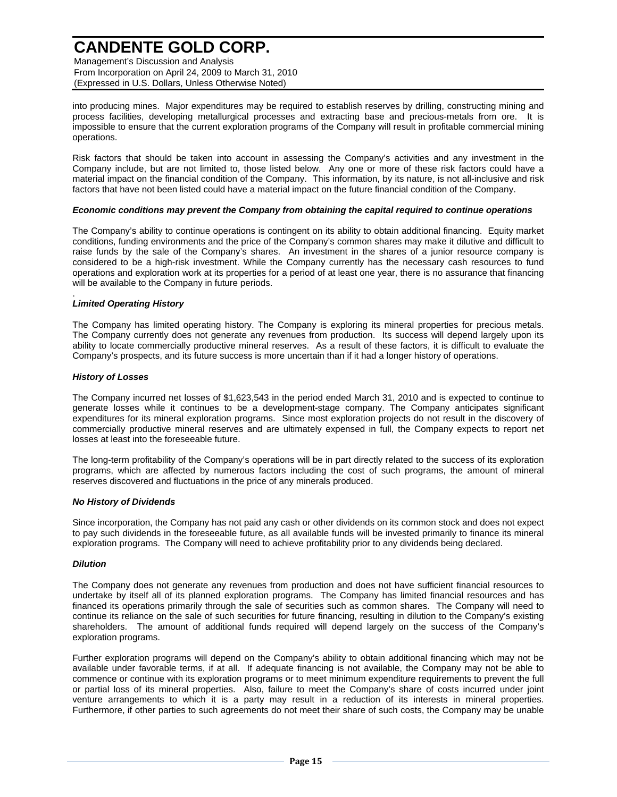Management's Discussion and Analysis From Incorporation on April 24, 2009 to March 31, 2010 (Expressed in U.S. Dollars, Unless Otherwise Noted)

into producing mines. Major expenditures may be required to establish reserves by drilling, constructing mining and process facilities, developing metallurgical processes and extracting base and precious-metals from ore. It is impossible to ensure that the current exploration programs of the Company will result in profitable commercial mining operations.

Risk factors that should be taken into account in assessing the Company's activities and any investment in the Company include, but are not limited to, those listed below. Any one or more of these risk factors could have a material impact on the financial condition of the Company. This information, by its nature, is not all-inclusive and risk factors that have not been listed could have a material impact on the future financial condition of the Company.

## *Economic conditions may prevent the Company from obtaining the capital required to continue operations*

The Company's ability to continue operations is contingent on its ability to obtain additional financing. Equity market conditions, funding environments and the price of the Company's common shares may make it dilutive and difficult to raise funds by the sale of the Company's shares. An investment in the shares of a junior resource company is considered to be a high-risk investment. While the Company currently has the necessary cash resources to fund operations and exploration work at its properties for a period of at least one year, there is no assurance that financing will be available to the Company in future periods.

#### . *Limited Operating History*

The Company has limited operating history. The Company is exploring its mineral properties for precious metals. The Company currently does not generate any revenues from production. Its success will depend largely upon its ability to locate commercially productive mineral reserves. As a result of these factors, it is difficult to evaluate the Company's prospects, and its future success is more uncertain than if it had a longer history of operations.

## *History of Losses*

The Company incurred net losses of \$1,623,543 in the period ended March 31, 2010 and is expected to continue to generate losses while it continues to be a development-stage company. The Company anticipates significant expenditures for its mineral exploration programs. Since most exploration projects do not result in the discovery of commercially productive mineral reserves and are ultimately expensed in full, the Company expects to report net losses at least into the foreseeable future.

The long-term profitability of the Company's operations will be in part directly related to the success of its exploration programs, which are affected by numerous factors including the cost of such programs, the amount of mineral reserves discovered and fluctuations in the price of any minerals produced.

### *No History of Dividends*

Since incorporation, the Company has not paid any cash or other dividends on its common stock and does not expect to pay such dividends in the foreseeable future, as all available funds will be invested primarily to finance its mineral exploration programs. The Company will need to achieve profitability prior to any dividends being declared.

## *Dilution*

The Company does not generate any revenues from production and does not have sufficient financial resources to undertake by itself all of its planned exploration programs. The Company has limited financial resources and has financed its operations primarily through the sale of securities such as common shares. The Company will need to continue its reliance on the sale of such securities for future financing, resulting in dilution to the Company's existing shareholders. The amount of additional funds required will depend largely on the success of the Company's exploration programs.

Further exploration programs will depend on the Company's ability to obtain additional financing which may not be available under favorable terms, if at all. If adequate financing is not available, the Company may not be able to commence or continue with its exploration programs or to meet minimum expenditure requirements to prevent the full or partial loss of its mineral properties. Also, failure to meet the Company's share of costs incurred under joint venture arrangements to which it is a party may result in a reduction of its interests in mineral properties. Furthermore, if other parties to such agreements do not meet their share of such costs, the Company may be unable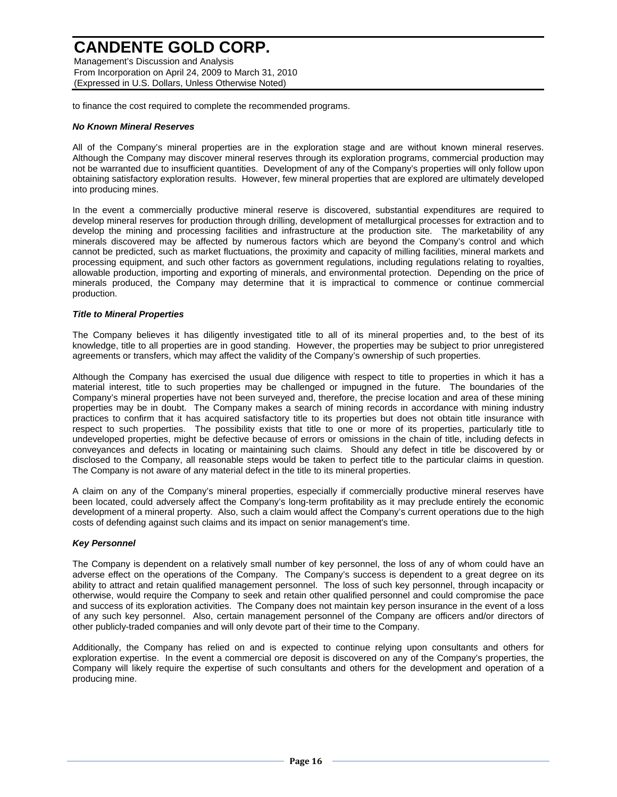Management's Discussion and Analysis From Incorporation on April 24, 2009 to March 31, 2010 (Expressed in U.S. Dollars, Unless Otherwise Noted)

to finance the cost required to complete the recommended programs.

### *No Known Mineral Reserves*

All of the Company's mineral properties are in the exploration stage and are without known mineral reserves. Although the Company may discover mineral reserves through its exploration programs, commercial production may not be warranted due to insufficient quantities. Development of any of the Company's properties will only follow upon obtaining satisfactory exploration results. However, few mineral properties that are explored are ultimately developed into producing mines.

In the event a commercially productive mineral reserve is discovered, substantial expenditures are required to develop mineral reserves for production through drilling, development of metallurgical processes for extraction and to develop the mining and processing facilities and infrastructure at the production site. The marketability of any minerals discovered may be affected by numerous factors which are beyond the Company's control and which cannot be predicted, such as market fluctuations, the proximity and capacity of milling facilities, mineral markets and processing equipment, and such other factors as government regulations, including regulations relating to royalties, allowable production, importing and exporting of minerals, and environmental protection. Depending on the price of minerals produced, the Company may determine that it is impractical to commence or continue commercial production.

## *Title to Mineral Properties*

The Company believes it has diligently investigated title to all of its mineral properties and, to the best of its knowledge, title to all properties are in good standing. However, the properties may be subject to prior unregistered agreements or transfers, which may affect the validity of the Company's ownership of such properties.

Although the Company has exercised the usual due diligence with respect to title to properties in which it has a material interest, title to such properties may be challenged or impugned in the future. The boundaries of the Company's mineral properties have not been surveyed and, therefore, the precise location and area of these mining properties may be in doubt. The Company makes a search of mining records in accordance with mining industry practices to confirm that it has acquired satisfactory title to its properties but does not obtain title insurance with respect to such properties. The possibility exists that title to one or more of its properties, particularly title to undeveloped properties, might be defective because of errors or omissions in the chain of title, including defects in conveyances and defects in locating or maintaining such claims. Should any defect in title be discovered by or disclosed to the Company, all reasonable steps would be taken to perfect title to the particular claims in question. The Company is not aware of any material defect in the title to its mineral properties.

A claim on any of the Company's mineral properties, especially if commercially productive mineral reserves have been located, could adversely affect the Company's long-term profitability as it may preclude entirely the economic development of a mineral property. Also, such a claim would affect the Company's current operations due to the high costs of defending against such claims and its impact on senior management's time.

### *Key Personnel*

The Company is dependent on a relatively small number of key personnel, the loss of any of whom could have an adverse effect on the operations of the Company. The Company's success is dependent to a great degree on its ability to attract and retain qualified management personnel. The loss of such key personnel, through incapacity or otherwise, would require the Company to seek and retain other qualified personnel and could compromise the pace and success of its exploration activities. The Company does not maintain key person insurance in the event of a loss of any such key personnel. Also, certain management personnel of the Company are officers and/or directors of other publicly-traded companies and will only devote part of their time to the Company.

Additionally, the Company has relied on and is expected to continue relying upon consultants and others for exploration expertise. In the event a commercial ore deposit is discovered on any of the Company's properties, the Company will likely require the expertise of such consultants and others for the development and operation of a producing mine.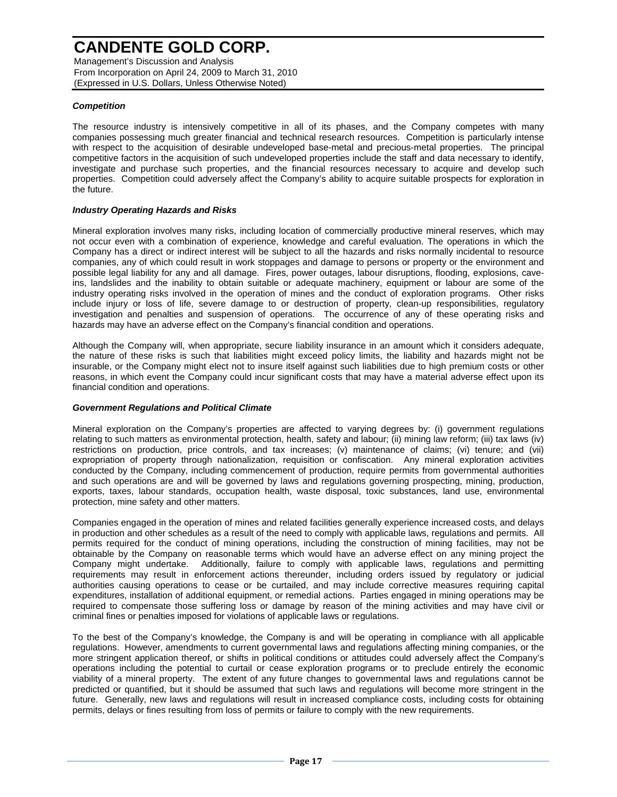Management's Discussion and Analysis From Incorporation on April 24, 2009 to March 31, 2010 (Expressed in U.S. Dollars, Unless Otherwise Noted)

## *Competition*

The resource industry is intensively competitive in all of its phases, and the Company competes with many companies possessing much greater financial and technical research resources. Competition is particularly intense with respect to the acquisition of desirable undeveloped base-metal and precious-metal properties. The principal competitive factors in the acquisition of such undeveloped properties include the staff and data necessary to identify, investigate and purchase such properties, and the financial resources necessary to acquire and develop such properties. Competition could adversely affect the Company's ability to acquire suitable prospects for exploration in the future.

## *Industry Operating Hazards and Risks*

Mineral exploration involves many risks, including location of commercially productive mineral reserves, which may not occur even with a combination of experience, knowledge and careful evaluation. The operations in which the Company has a direct or indirect interest will be subject to all the hazards and risks normally incidental to resource companies, any of which could result in work stoppages and damage to persons or property or the environment and possible legal liability for any and all damage. Fires, power outages, labour disruptions, flooding, explosions, caveins, landslides and the inability to obtain suitable or adequate machinery, equipment or labour are some of the industry operating risks involved in the operation of mines and the conduct of exploration programs. Other risks include injury or loss of life, severe damage to or destruction of property, clean-up responsibilities, regulatory investigation and penalties and suspension of operations. The occurrence of any of these operating risks and hazards may have an adverse effect on the Company's financial condition and operations.

Although the Company will, when appropriate, secure liability insurance in an amount which it considers adequate, the nature of these risks is such that liabilities might exceed policy limits, the liability and hazards might not be insurable, or the Company might elect not to insure itself against such liabilities due to high premium costs or other reasons, in which event the Company could incur significant costs that may have a material adverse effect upon its financial condition and operations.

### *Government Regulations and Political Climate*

Mineral exploration on the Company's properties are affected to varying degrees by: (i) government regulations relating to such matters as environmental protection, health, safety and labour; (ii) mining law reform; (iii) tax laws (iv) restrictions on production, price controls, and tax increases; (v) maintenance of claims; (vi) tenure; and (vii) expropriation of property through nationalization, requisition or confiscation. Any mineral exploration activities conducted by the Company, including commencement of production, require permits from governmental authorities and such operations are and will be governed by laws and regulations governing prospecting, mining, production, exports, taxes, labour standards, occupation health, waste disposal, toxic substances, land use, environmental protection, mine safety and other matters.

Companies engaged in the operation of mines and related facilities generally experience increased costs, and delays in production and other schedules as a result of the need to comply with applicable laws, regulations and permits. All permits required for the conduct of mining operations, including the construction of mining facilities, may not be obtainable by the Company on reasonable terms which would have an adverse effect on any mining project the Company might undertake. Additionally, failure to comply with applicable laws, regulations and permitting requirements may result in enforcement actions thereunder, including orders issued by regulatory or judicial authorities causing operations to cease or be curtailed, and may include corrective measures requiring capital expenditures, installation of additional equipment, or remedial actions. Parties engaged in mining operations may be required to compensate those suffering loss or damage by reason of the mining activities and may have civil or criminal fines or penalties imposed for violations of applicable laws or regulations.

To the best of the Company's knowledge, the Company is and will be operating in compliance with all applicable regulations. However, amendments to current governmental laws and regulations affecting mining companies, or the more stringent application thereof, or shifts in political conditions or attitudes could adversely affect the Company's operations including the potential to curtail or cease exploration programs or to preclude entirely the economic viability of a mineral property. The extent of any future changes to governmental laws and regulations cannot be predicted or quantified, but it should be assumed that such laws and regulations will become more stringent in the future. Generally, new laws and regulations will result in increased compliance costs, including costs for obtaining permits, delays or fines resulting from loss of permits or failure to comply with the new requirements.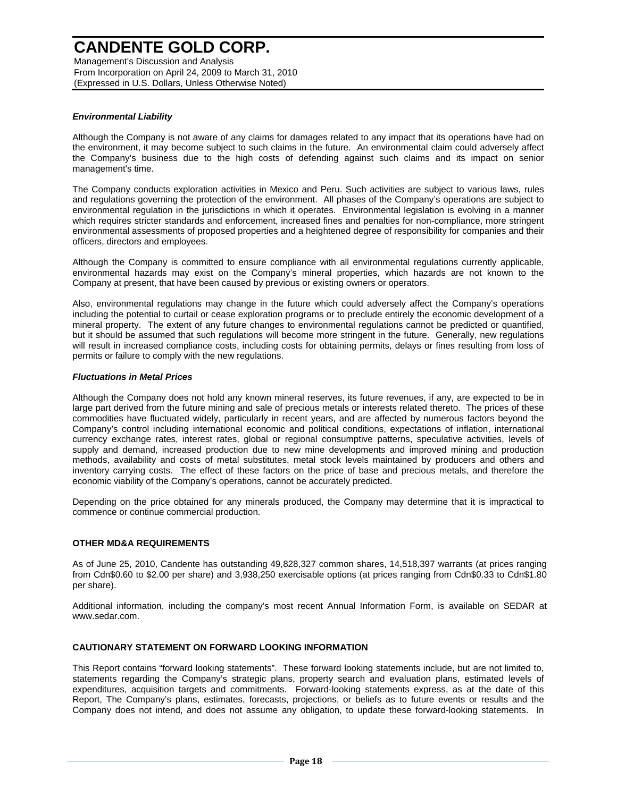Management's Discussion and Analysis From Incorporation on April 24, 2009 to March 31, 2010 (Expressed in U.S. Dollars, Unless Otherwise Noted)

## *Environmental Liability*

Although the Company is not aware of any claims for damages related to any impact that its operations have had on the environment, it may become subject to such claims in the future. An environmental claim could adversely affect the Company's business due to the high costs of defending against such claims and its impact on senior management's time.

The Company conducts exploration activities in Mexico and Peru. Such activities are subject to various laws, rules and regulations governing the protection of the environment. All phases of the Company's operations are subject to environmental regulation in the jurisdictions in which it operates. Environmental legislation is evolving in a manner which requires stricter standards and enforcement, increased fines and penalties for non-compliance, more stringent environmental assessments of proposed properties and a heightened degree of responsibility for companies and their officers, directors and employees.

Although the Company is committed to ensure compliance with all environmental regulations currently applicable, environmental hazards may exist on the Company's mineral properties, which hazards are not known to the Company at present, that have been caused by previous or existing owners or operators.

Also, environmental regulations may change in the future which could adversely affect the Company's operations including the potential to curtail or cease exploration programs or to preclude entirely the economic development of a mineral property. The extent of any future changes to environmental regulations cannot be predicted or quantified, but it should be assumed that such regulations will become more stringent in the future. Generally, new regulations will result in increased compliance costs, including costs for obtaining permits, delays or fines resulting from loss of permits or failure to comply with the new regulations.

## *Fluctuations in Metal Prices*

Although the Company does not hold any known mineral reserves, its future revenues, if any, are expected to be in large part derived from the future mining and sale of precious metals or interests related thereto. The prices of these commodities have fluctuated widely, particularly in recent years, and are affected by numerous factors beyond the Company's control including international economic and political conditions, expectations of inflation, international currency exchange rates, interest rates, global or regional consumptive patterns, speculative activities, levels of supply and demand, increased production due to new mine developments and improved mining and production methods, availability and costs of metal substitutes, metal stock levels maintained by producers and others and inventory carrying costs. The effect of these factors on the price of base and precious metals, and therefore the economic viability of the Company's operations, cannot be accurately predicted.

Depending on the price obtained for any minerals produced, the Company may determine that it is impractical to commence or continue commercial production.

## **OTHER MD&A REQUIREMENTS**

As of June 25, 2010, Candente has outstanding 49,828,327 common shares, 14,518,397 warrants (at prices ranging from Cdn\$0.60 to \$2.00 per share) and 3,938,250 exercisable options (at prices ranging from Cdn\$0.33 to Cdn\$1.80 per share).

Additional information, including the company's most recent Annual Information Form, is available on SEDAR at www.sedar.com.

### **CAUTIONARY STATEMENT ON FORWARD LOOKING INFORMATION**

This Report contains "forward looking statements". These forward looking statements include, but are not limited to, statements regarding the Company's strategic plans, property search and evaluation plans, estimated levels of expenditures, acquisition targets and commitments. Forward-looking statements express, as at the date of this Report, The Company's plans, estimates, forecasts, projections, or beliefs as to future events or results and the Company does not intend, and does not assume any obligation, to update these forward-looking statements. In